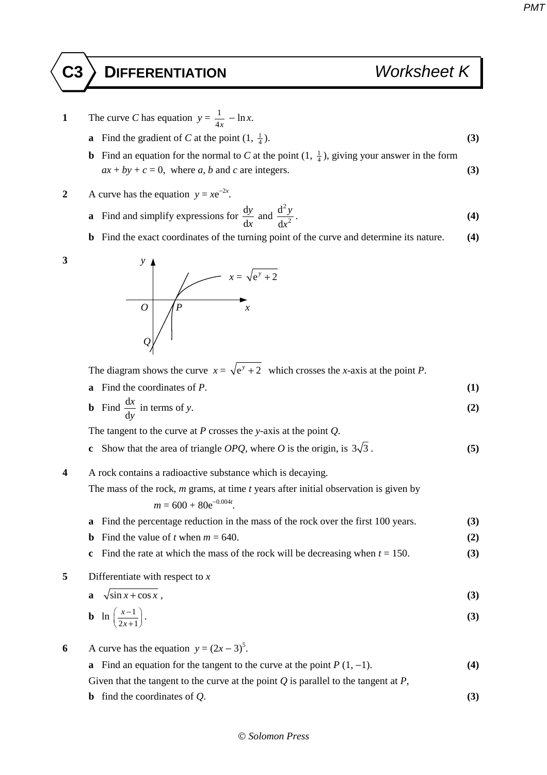- **1** The curve *C* has equation  $y = \frac{1}{4x} \ln x$ .
	- **a** Find the gradient of *C* at the point  $(1, \frac{1}{4})$ .  $\frac{1}{4}$ ). (3)
	- **b** Find an equation for the normal to *C* at the point  $(1, \frac{1}{4})$ , giving your answer in the form  $ax + by + c = 0$ , where *a*, *b* and *c* are integers. **(3)**
- 2 A curve has the equation  $y = xe^{-2x}$ .
	- **a** Find and simplify expressions for  $\frac{d}{dx}$ d *y x* and 2 2 d d *y*  $\frac{y}{x^2}$ . **(4)**
	- **b** Find the exact coordinates of the turning point of the curve and determine its nature. **(4)**



The diagram shows the curve  $x = \sqrt{e^y + 2}$  which crosses the *x*-axis at the point *P*.

- **a** Find the coordinates of *P*. **(1)**
- **b** Find  $\frac{d}{dx}$ d *x y* in terms of *y*.  $(2)$

The tangent to the curve at *P* crosses the *y*-axis at the point *Q*.

**c** Show that the area of triangle *OPQ*, where *O* is the origin, is  $3\sqrt{3}$ . (5)

**4** A rock contains a radioactive substance which is decaying.

The mass of the rock, *m* grams, at time *t* years after initial observation is given by

 $m = 600 + 80e^{-0.004t}$ .

**a** Find the percentage reduction in the mass of the rock over the first 100 years. **(3)** 

- **b** Find the value of *t* when  $m = 640$ . (2)
- **c** Find the rate at which the mass of the rock will be decreasing when  $t = 150$ . **(3)**
- **5** Differentiate with respect to *x*

$$
a \sqrt{\sin x + \cos x}, \tag{3}
$$

$$
\mathbf{b} \quad \ln\left(\frac{x-1}{2x+1}\right). \tag{3}
$$

**6** A curve has the equation  $y = (2x - 3)^5$ .

**a** Find an equation for the tangent to the curve at the point  $P(1, -1)$ . **(4)** Given that the tangent to the curve at the point *Q* is parallel to the tangent at *P*,

**b** find the coordinates of  $Q$ . **(3)**